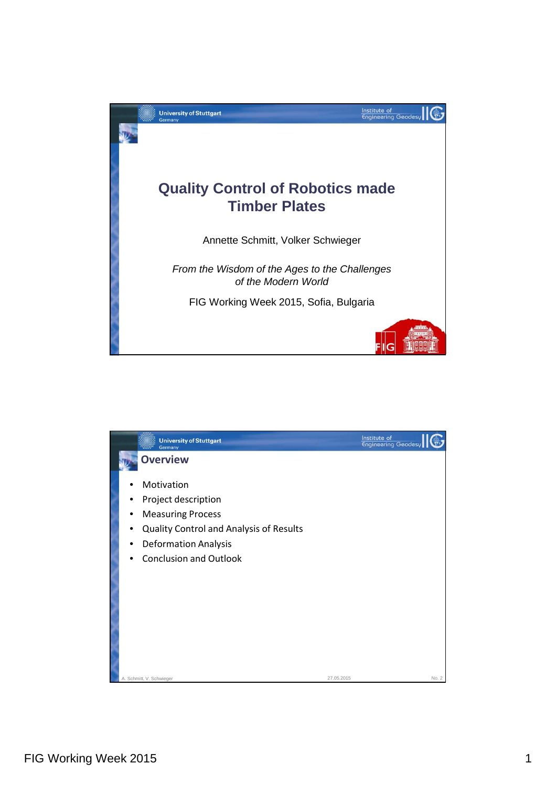

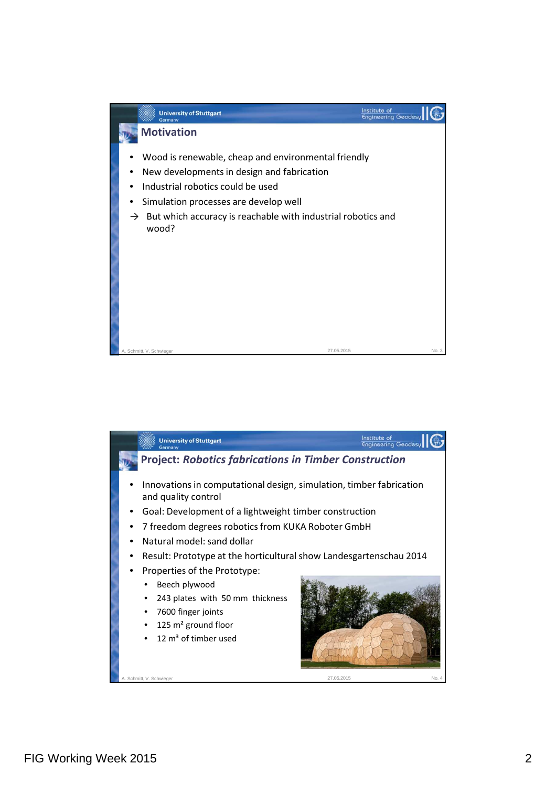

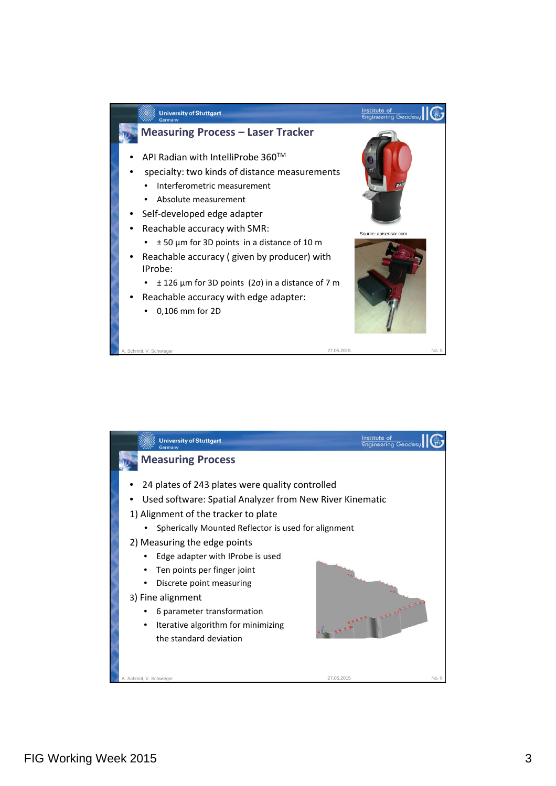

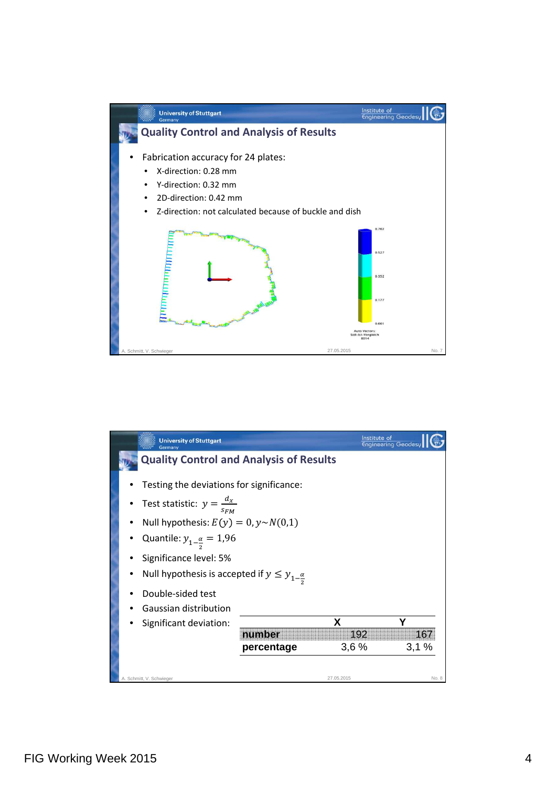

|                                                | <b>University of Stuttgart</b><br>Germany                                                                                                                                                                                                                                          |                      | Institute of     | <b>Engineering Geodesy</b> |
|------------------------------------------------|------------------------------------------------------------------------------------------------------------------------------------------------------------------------------------------------------------------------------------------------------------------------------------|----------------------|------------------|----------------------------|
| <b>Quality Control and Analysis of Results</b> |                                                                                                                                                                                                                                                                                    |                      |                  |                            |
|                                                | Testing the deviations for significance:<br>Test statistic: $y = \frac{d_x}{s_{FM}}$<br>Null hypothesis: $E(y) = 0$ , $y \sim N(0,1)$<br>Quantile: $y_{1-\frac{\alpha}{2}} = 1.96$<br>Significance level: 5%<br>Null hypothesis is accepted if $y \le y_{1-\frac{\alpha}{\alpha}}$ |                      |                  |                            |
|                                                | Double-sided test<br>Gaussian distribution<br>Significant deviation:                                                                                                                                                                                                               | number<br>percentage | x<br>192<br>3,6% | 167<br>3,1%                |
|                                                | A. Schmitt, V. Schwieger                                                                                                                                                                                                                                                           |                      | 27.05.2015       | No. 8                      |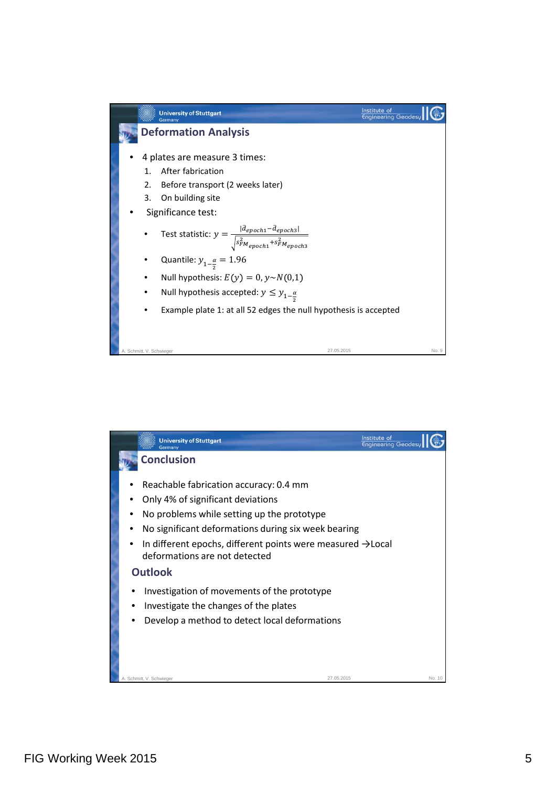